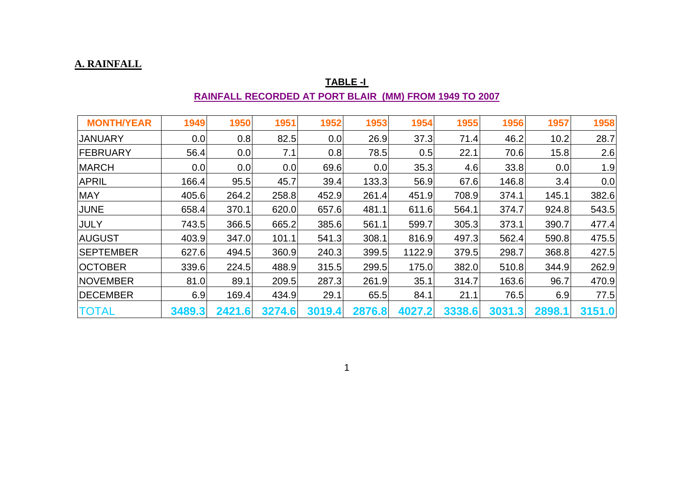#### **A. RAINFALL**

|                   |        | RAINFALL RECORDED AT PORT BLAIR (MM) FROM 1949 TO 2007 |        |        |        |        |        |        |        |        |
|-------------------|--------|--------------------------------------------------------|--------|--------|--------|--------|--------|--------|--------|--------|
| <b>MONTH/YEAR</b> | 1949   | 1950                                                   | 1951   | 1952   | 1953   | 1954   | 1955   | 1956   | 1957   | 1958   |
| <b>JANUARY</b>    | 0.0    | 0.8                                                    | 82.5   | 0.0    | 26.9   | 37.3   | 71.4   | 46.2   | 10.2   | 28.7   |
| <b>FEBRUARY</b>   | 56.4   | 0.0                                                    | 7.1    | 0.8    | 78.5   | 0.5    | 22.1   | 70.6   | 15.8   | 2.6    |
| <b>MARCH</b>      | 0.0    | 0.0                                                    | 0.0    | 69.6   | 0.0    | 35.3   | 4.6    | 33.8   | 0.0    | 1.9    |
| <b>APRIL</b>      | 166.4  | 95.5                                                   | 45.7   | 39.4   | 133.3  | 56.9   | 67.6   | 146.8  | 3.4    | 0.0    |
| <b>MAY</b>        | 405.6  | 264.2                                                  | 258.8  | 452.9  | 261.4  | 451.9  | 708.9  | 374.1  | 145.1  | 382.6  |
| <b>JUNE</b>       | 658.4  | 370.1                                                  | 620.0  | 657.6  | 481.1  | 611.6  | 564.1  | 374.7  | 924.8  | 543.5  |
| <b>JULY</b>       | 743.5  | 366.5                                                  | 665.2  | 385.6  | 561.1  | 599.7  | 305.3  | 373.1  | 390.7  | 477.4  |
| <b>AUGUST</b>     | 403.9  | 347.0                                                  | 101.1  | 541.3  | 308.1  | 816.9  | 497.3  | 562.4  | 590.8  | 475.5  |
| <b>SEPTEMBER</b>  | 627.6  | 494.5                                                  | 360.9  | 240.3  | 399.5  | 1122.9 | 379.5  | 298.7  | 368.8  | 427.5  |
| OCTOBER           | 339.6  | 224.5                                                  | 488.9  | 315.5  | 299.5  | 175.0  | 382.0  | 510.8  | 344.9  | 262.9  |
| <b>NOVEMBER</b>   | 81.0   | 89.1                                                   | 209.5  | 287.3  | 261.9  | 35.1   | 314.7  | 163.6  | 96.7   | 470.9  |
| <b>DECEMBER</b>   | 6.9    | 169.4                                                  | 434.9  | 29.1   | 65.5   | 84.1   | 21.1   | 76.5   | 6.9    | 77.5   |
| <b>TOTAL</b>      | 3489.3 | 2421.6                                                 | 3274.6 | 3019.4 | 2876.8 | 4027.2 | 3338.6 | 3031.3 | 2898.1 | 3151.0 |

## **TABLE -I**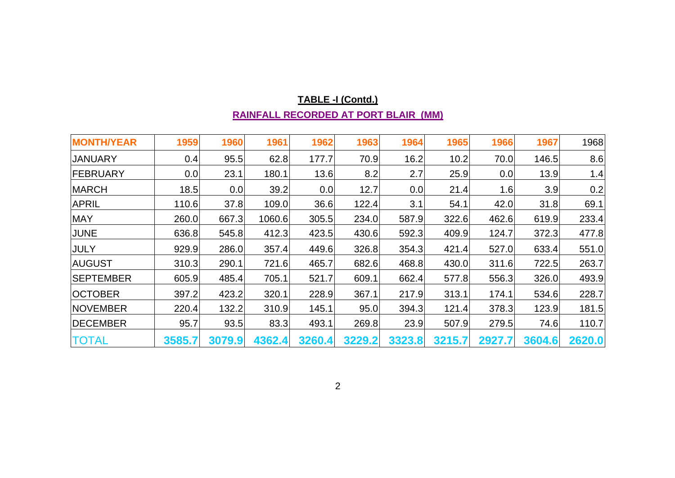| <b>MONTH/YEAR</b> | 1959   | 1960   | 1961   | 1962   | 1963   | 1964   | 1965   | 1966   | 1967   | 1968   |
|-------------------|--------|--------|--------|--------|--------|--------|--------|--------|--------|--------|
| <b>JANUARY</b>    | 0.4    | 95.5   | 62.8   | 177.7  | 70.9   | 16.2   | 10.2   | 70.0   | 146.5  | 8.6    |
| <b>FEBRUARY</b>   | 0.0    | 23.1   | 180.1  | 13.6   | 8.2    | 2.7    | 25.9   | 0.0    | 13.9   | 1.4    |
| <b>MARCH</b>      | 18.5   | 0.0    | 39.2   | 0.0    | 12.7   | 0.0    | 21.4   | 1.6    | 3.9    | 0.2    |
| <b>APRIL</b>      | 110.6  | 37.8   | 109.0  | 36.6   | 122.4  | 3.1    | 54.1   | 42.0   | 31.8   | 69.1   |
| <b>MAY</b>        | 260.0  | 667.3  | 1060.6 | 305.5  | 234.0  | 587.9  | 322.6  | 462.6  | 619.9  | 233.4  |
| JUNE              | 636.8  | 545.8  | 412.3  | 423.5  | 430.6  | 592.3  | 409.9  | 124.7  | 372.3  | 477.8  |
| JULY              | 929.9  | 286.0  | 357.4  | 449.6  | 326.8  | 354.3  | 421.4  | 527.0  | 633.4  | 551.0  |
| <b>AUGUST</b>     | 310.3  | 290.1  | 721.6  | 465.7  | 682.6  | 468.8  | 430.0  | 311.6  | 722.5  | 263.7  |
| <b>SEPTEMBER</b>  | 605.9  | 485.4  | 705.1  | 521.7  | 609.1  | 662.4  | 577.8  | 556.3  | 326.0  | 493.9  |
| <b>OCTOBER</b>    | 397.2  | 423.2  | 320.1  | 228.9  | 367.1  | 217.9  | 313.1  | 174.1  | 534.6  | 228.7  |
| <b>NOVEMBER</b>   | 220.4  | 132.2  | 310.9  | 145.1  | 95.0   | 394.3  | 121.4  | 378.3  | 123.9  | 181.5  |
| <b>DECEMBER</b>   | 95.7   | 93.5   | 83.3   | 493.1  | 269.8  | 23.9   | 507.9  | 279.5  | 74.6   | 110.7  |
| <b>TOTAL</b>      | 3585.7 | 3079.9 | 4362.4 | 3260.4 | 3229.2 | 3323.8 | 3215.7 | 2927.7 | 3604.6 | 2620.0 |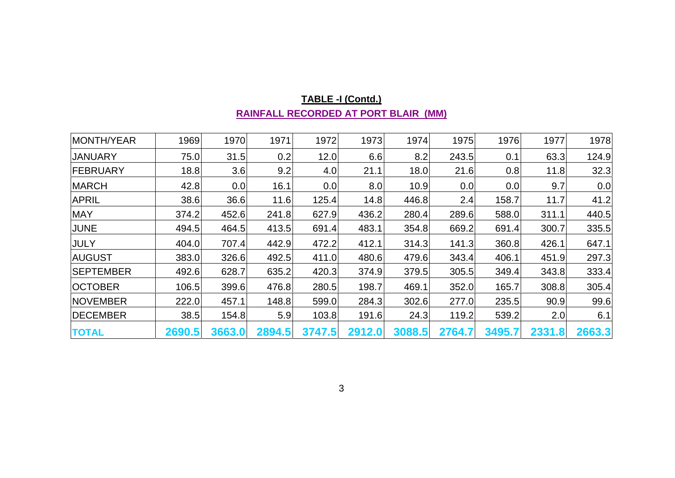| <b>MONTH/YEAR</b> | 1969   | 1970   | 1971   | 1972   | 1973   | 1974   | 1975   | 1976   | 1977   | 1978   |
|-------------------|--------|--------|--------|--------|--------|--------|--------|--------|--------|--------|
| <b>JANUARY</b>    | 75.0   | 31.5   | 0.2    | 12.0   | 6.6    | 8.2    | 243.5  | 0.1    | 63.3   | 124.9  |
| <b>FEBRUARY</b>   | 18.8   | 3.6    | 9.2    | 4.0    | 21.1   | 18.0   | 21.6   | 0.8    | 11.8   | 32.3   |
| <b>MARCH</b>      | 42.8   | 0.0    | 16.1   | 0.0    | 8.0    | 10.9   | 0.0    | 0.0    | 9.7    | 0.0    |
| <b>APRIL</b>      | 38.6   | 36.6   | 11.6   | 125.4  | 14.8   | 446.8  | 2.4    | 158.7  | 11.7   | 41.2   |
| <b>MAY</b>        | 374.2  | 452.6  | 241.8  | 627.9  | 436.2  | 280.4  | 289.6  | 588.0  | 311.1  | 440.5  |
| <b>JUNE</b>       | 494.5  | 464.5  | 413.5  | 691.4  | 483.1  | 354.8  | 669.2  | 691.4  | 300.7  | 335.5  |
| <b>JULY</b>       | 404.0  | 707.4  | 442.9  | 472.2  | 412.1  | 314.3  | 141.3  | 360.8  | 426.1  | 647.1  |
| <b>AUGUST</b>     | 383.0  | 326.6  | 492.5  | 411.0  | 480.6  | 479.6  | 343.4  | 406.1  | 451.9  | 297.3  |
| <b>SEPTEMBER</b>  | 492.6  | 628.7  | 635.2  | 420.3  | 374.9  | 379.5  | 305.5  | 349.4  | 343.8  | 333.4  |
| <b>OCTOBER</b>    | 106.5  | 399.6  | 476.8  | 280.5  | 198.7  | 469.1  | 352.0  | 165.7  | 308.8  | 305.4  |
| <b>NOVEMBER</b>   | 222.0  | 457.1  | 148.8  | 599.0  | 284.3  | 302.6  | 277.0  | 235.5  | 90.9   | 99.6   |
| <b>DECEMBER</b>   | 38.5   | 154.8  | 5.9    | 103.8  | 191.6  | 24.3   | 119.2  | 539.2  | 2.0    | 6.1    |
| <b>TOTAL</b>      | 2690.5 | 3663.0 | 2894.5 | 3747.5 | 2912.0 | 3088.5 | 2764.7 | 3495.7 | 2331.8 | 2663.3 |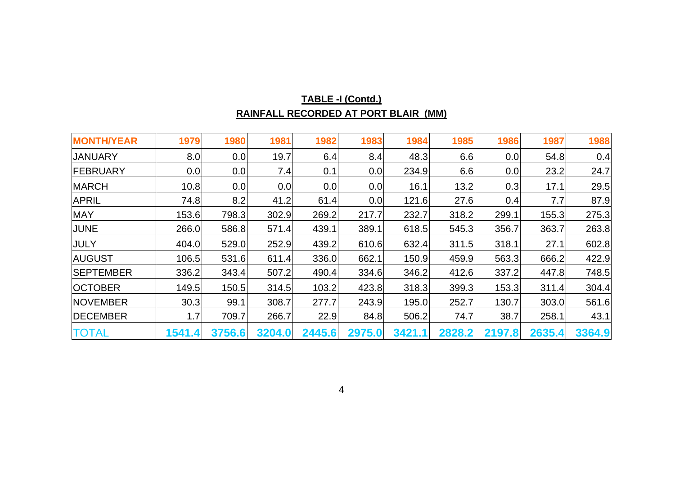| <b>MONTH/YEAR</b> | 1979   | 1980   | 1981   | 1982   | 1983   | 1984   | 1985   | 1986   | 1987   | 1988   |
|-------------------|--------|--------|--------|--------|--------|--------|--------|--------|--------|--------|
| <b>JANUARY</b>    | 8.0    | 0.0    | 19.7   | 6.4    | 8.4    | 48.3   | 6.6    | 0.0    | 54.8   | 0.4    |
| <b>FEBRUARY</b>   | 0.0    | 0.0    | 7.4    | 0.1    | 0.0    | 234.9  | 6.6    | 0.0    | 23.2   | 24.7   |
| <b>MARCH</b>      | 10.8   | 0.0    | 0.0    | 0.0    | 0.0    | 16.1   | 13.2   | 0.3    | 17.1   | 29.5   |
| <b>APRIL</b>      | 74.8   | 8.2    | 41.2   | 61.4   | 0.0    | 121.6  | 27.6   | 0.4    | 7.7    | 87.9   |
| <b>MAY</b>        | 153.6  | 798.3  | 302.9  | 269.2  | 217.7  | 232.7  | 318.2  | 299.1  | 155.3  | 275.3  |
| <b>JUNE</b>       | 266.0  | 586.8  | 571.4  | 439.1  | 389.1  | 618.5  | 545.3  | 356.7  | 363.7  | 263.8  |
| <b>JULY</b>       | 404.0  | 529.0  | 252.9  | 439.2  | 610.6  | 632.4  | 311.5  | 318.1  | 27.1   | 602.8  |
| <b>AUGUST</b>     | 106.5  | 531.6  | 611.4  | 336.0  | 662.1  | 150.9  | 459.9  | 563.3  | 666.2  | 422.9  |
| <b>SEPTEMBER</b>  | 336.2  | 343.4  | 507.2  | 490.4  | 334.6  | 346.2  | 412.6  | 337.2  | 447.8  | 748.5  |
| <b>OCTOBER</b>    | 149.5  | 150.5  | 314.5  | 103.2  | 423.8  | 318.3  | 399.3  | 153.3  | 311.4  | 304.4  |
| <b>NOVEMBER</b>   | 30.3   | 99.1   | 308.7  | 277.7  | 243.9  | 195.0  | 252.7  | 130.7  | 303.0  | 561.6  |
| DECEMBER          | 1.7    | 709.7  | 266.7  | 22.9   | 84.8   | 506.2  | 74.7   | 38.7   | 258.1  | 43.1   |
| TOTAL             | 1541.4 | 3756.6 | 3204.0 | 2445.6 | 2975.0 | 3421.1 | 2828.2 | 2197.8 | 2635.4 | 3364.9 |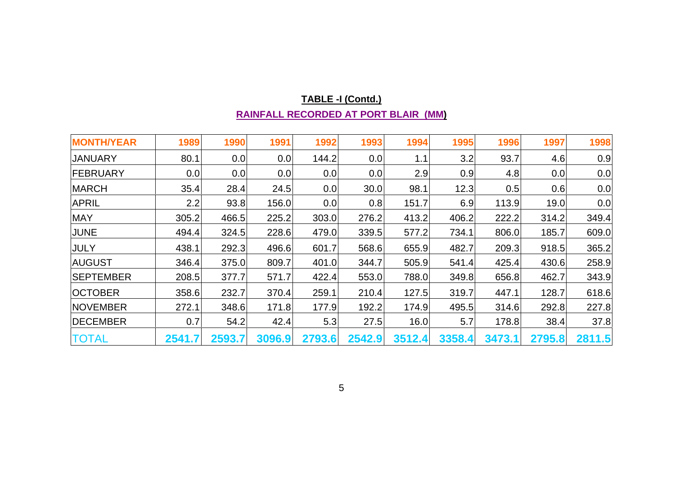| <b>MONTH/YEAR</b> | 1989   | 1990   | 1991   | 1992   | 1993   | 1994   | 1995   | 1996   | 1997   | 1998   |
|-------------------|--------|--------|--------|--------|--------|--------|--------|--------|--------|--------|
| <b>JANUARY</b>    | 80.1   | 0.0    | 0.0    | 144.2  | 0.0    | 1.1    | 3.2    | 93.7   | 4.6    | 0.9    |
| <b>FEBRUARY</b>   | 0.0    | 0.0    | 0.0    | 0.0    | 0.0    | 2.9    | 0.9    | 4.8    | 0.0    | 0.0    |
| <b>MARCH</b>      | 35.4   | 28.4   | 24.5   | 0.0    | 30.0   | 98.1   | 12.3   | 0.5    | 0.6    | 0.0    |
| <b>APRIL</b>      | 2.2    | 93.8   | 156.0  | 0.0    | 0.8    | 151.7  | 6.9    | 113.9  | 19.0   | 0.0    |
| <b>MAY</b>        | 305.2  | 466.5  | 225.2  | 303.0  | 276.2  | 413.2  | 406.2  | 222.2  | 314.2  | 349.4  |
| <b>JUNE</b>       | 494.4  | 324.5  | 228.6  | 479.0  | 339.5  | 577.2  | 734.1  | 806.0  | 185.7  | 609.0  |
| <b>JULY</b>       | 438.1  | 292.3  | 496.6  | 601.7  | 568.6  | 655.9  | 482.7  | 209.3  | 918.5  | 365.2  |
| <b>AUGUST</b>     | 346.4  | 375.0  | 809.7  | 401.0  | 344.7  | 505.9  | 541.4  | 425.4  | 430.6  | 258.9  |
| <b>SEPTEMBER</b>  | 208.5  | 377.7  | 571.7  | 422.4  | 553.0  | 788.0  | 349.8  | 656.8  | 462.7  | 343.9  |
| <b>OCTOBER</b>    | 358.6  | 232.7  | 370.4  | 259.1  | 210.4  | 127.5  | 319.7  | 447.1  | 128.7  | 618.6  |
| <b>NOVEMBER</b>   | 272.1  | 348.6  | 171.8  | 177.9  | 192.2  | 174.9  | 495.5  | 314.6  | 292.8  | 227.8  |
| <b>DECEMBER</b>   | 0.7    | 54.2   | 42.4   | 5.3    | 27.5   | 16.0   | 5.7    | 178.8  | 38.4   | 37.8   |
| <b>TOTAL</b>      | 2541.7 | 2593.7 | 3096.9 | 2793.6 | 2542.9 | 3512.4 | 3358.4 | 3473.1 | 2795.8 | 2811.5 |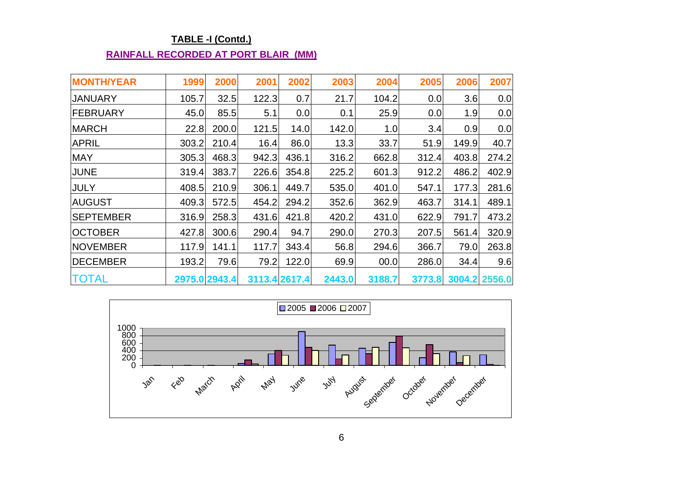## **TABLE -I (Contd.)**

#### **RAINFALL RECORDED AT PORT BLAIR (MM)**

| <b>MONTH/YEAR</b> | 1999  | 2000          | 2001          | 2002  | 2003   | 2004   | 2005   | 2006  | 2007          |
|-------------------|-------|---------------|---------------|-------|--------|--------|--------|-------|---------------|
| <b>JANUARY</b>    | 105.7 | 32.5          | 122.3         | 0.7   | 21.7   | 104.2  | 0.0    | 3.6   | 0.0           |
| <b>FEBRUARY</b>   | 45.0  | 85.5          | 5.1           | 0.0   | 0.1    | 25.9   | 0.0    | 1.9   | 0.0           |
| <b>MARCH</b>      | 22.8  | 200.0         | 121.5         | 14.0  | 142.0  | 1.0    | 3.4    | 0.9   | 0.0           |
| <b>APRIL</b>      | 303.2 | 210.4         | 16.4          | 86.0  | 13.3   | 33.7   | 51.9   | 149.9 | 40.7          |
| <b>MAY</b>        | 305.3 | 468.3         | 942.3         | 436.1 | 316.2  | 662.8  | 312.4  | 403.8 | 274.2         |
| <b>JUNE</b>       | 319.4 | 383.7         | 226.6         | 354.8 | 225.2  | 601.3  | 912.2  | 486.2 | 402.9         |
| <b>JULY</b>       | 408.5 | 210.9         | 306.1         | 449.7 | 535.0  | 401.0  | 547.1  | 177.3 | 281.6         |
| <b>AUGUST</b>     | 409.3 | 572.5         | 454.2         | 294.2 | 352.6  | 362.9  | 463.7  | 314.1 | 489.1         |
| <b>SEPTEMBER</b>  | 316.9 | 258.3         | 431.6         | 421.8 | 420.2  | 431.0  | 622.9  | 791.7 | 473.2         |
| <b>OCTOBER</b>    | 427.8 | 300.6         | 290.4         | 94.7  | 290.0  | 270.3  | 207.5  | 561.4 | 320.9         |
| <b>NOVEMBER</b>   | 117.9 | 141.1         | 117.7         | 343.4 | 56.8   | 294.6  | 366.7  | 79.0  | 263.8         |
| <b>DECEMBER</b>   | 193.2 | 79.6          | 79.2          | 122.0 | 69.9   | 00.0   | 286.0  | 34.4  | 9.6           |
| <b>TOTAL</b>      |       | 2975.0 2943.4 | 3113.4 2617.4 |       | 2443.0 | 3188.7 | 3773.8 |       | 3004.2 2556.0 |

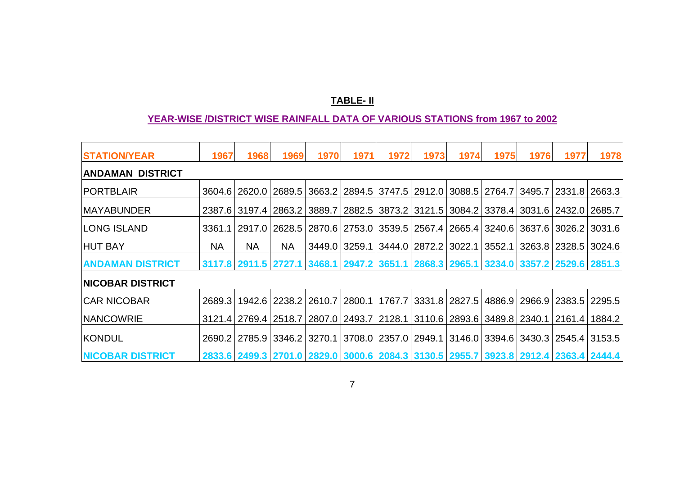#### **TABLE- II**

#### **YEAR-WISE /DISTRICT WISE RAINFALL DATA OF VARIOUS STATIONS from 1967 to 2002**

| <b>STATION/YEAR</b>     | 1967      | 1968            | 1969      | 1970                              | 1971          | 1972 | 1973                     | 1974 | 1975 | 1976                                                                           | 1977 | 1978                                                                                                      |
|-------------------------|-----------|-----------------|-----------|-----------------------------------|---------------|------|--------------------------|------|------|--------------------------------------------------------------------------------|------|-----------------------------------------------------------------------------------------------------------|
| <b>ANDAMAN DISTRICT</b> |           |                 |           |                                   |               |      |                          |      |      |                                                                                |      |                                                                                                           |
| <b>PORTBLAIR</b>        |           | 3604.6   2620.0 |           |                                   |               |      |                          |      |      | 2689.5 3663.2 2894.5 3747.5 2912.0 3088.5 2764.7 3495.7 2331.8                 |      | 2663.3                                                                                                    |
| <b>MAYABUNDER</b>       |           | 2387.613197.41  |           |                                   |               |      |                          |      |      | 2863.2   3889.7   2882.5   3873.2   3121.5   3084.2   3378.4   3031.6   2432.0 |      | 2685.7                                                                                                    |
| <b>LONG ISLAND</b>      | 3361.1    | 2917.0          |           |                                   |               |      |                          |      |      | 2628.5   2870.6   2753.0   3539.5   2567.4   2665.4   3240.6   3637.6   3026.2 |      | 3031.6                                                                                                    |
| <b>HUT BAY</b>          | <b>NA</b> | <b>NA</b>       | <b>NA</b> |                                   | 3449.0 3259.1 |      | 3444.0   2872.2   3022.1 |      |      | 3552.1   3263.8   2328.5                                                       |      | 3024.6                                                                                                    |
| <b>ANDAMAN DISTRICT</b> |           |                 |           |                                   |               |      |                          |      |      |                                                                                |      | 3117.8   2911.5   2727.1   3468.1   2947.2   3651.1   2868.3   2965.1   3234.0   3357.2   2529.6   2851.3 |
| <b>NICOBAR DISTRICT</b> |           |                 |           |                                   |               |      |                          |      |      |                                                                                |      |                                                                                                           |
| <b>CAR NICOBAR</b>      | 2689.3    |                 |           | 1942.6   2238.2   2610.7   2800.1 |               |      |                          |      |      | 1767.7   3331.8   2827.5   4886.9   2966.9   2383.5                            |      | 2295.5                                                                                                    |
| <b>NANCOWRIE</b>        |           | 3121.4   2769.4 |           | 2518.7 2807.0 2493.7              |               |      |                          |      |      | 2128.1   3110.6   2893.6   3489.8   2340.1   2161.4                            |      | 1884.2                                                                                                    |
| KONDUL                  |           | 2690.2   2785.9 |           |                                   |               |      |                          |      |      |                                                                                |      | 3346.2 3270.1 3708.0 2357.0 2949.1 3146.0 3394.6 3430.3 2545.4 3153.5                                     |
| <b>NICOBAR DISTRICT</b> |           |                 |           |                                   |               |      |                          |      |      |                                                                                |      | 2833.6 2499.3 2701.0 2829.0 3000.6 2084.3 3130.5 2955.7 3923.8 2912.4 2363.4 2444.4                       |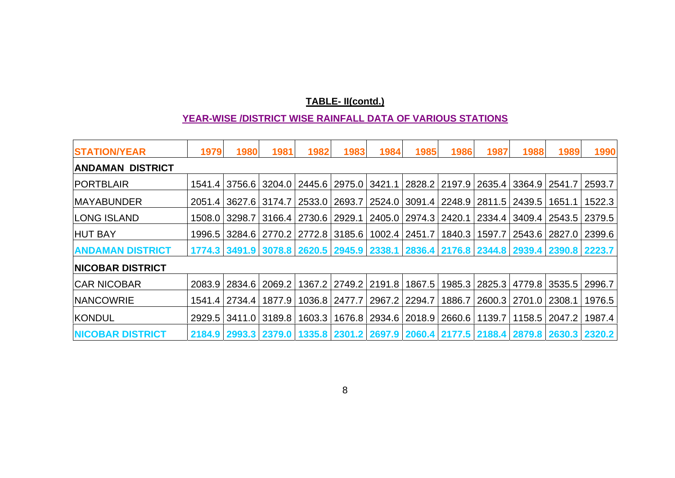## **TABLE- II(contd.)**

#### **YEAR-WISE /DISTRICT WISE RAINFALL DATA OF VARIOUS STATIONS**

| <b>STATION/YEAR</b>      | 1979 | 1980                                                                                                      | 1981   | 1982            | 1983                 | 1984   | 1985                     | 1986   | 1987   | 1988                              | 1989                              | 1990                                                                                |
|--------------------------|------|-----------------------------------------------------------------------------------------------------------|--------|-----------------|----------------------|--------|--------------------------|--------|--------|-----------------------------------|-----------------------------------|-------------------------------------------------------------------------------------|
| ANDAMAN DISTRICT         |      |                                                                                                           |        |                 |                      |        |                          |        |        |                                   |                                   |                                                                                     |
| <b>PORTBLAIR</b>         |      | 1541.4 3756.6 3204.0 2445.6 2975.0 3421.1                                                                 |        |                 |                      |        | 2828.2                   |        |        | 2197.9   2635.4   3364.9   2541.7 |                                   | 2593.7                                                                              |
| <b>MAYABUNDER</b>        |      | 2051.4 3627.6 3174.7                                                                                      |        | 2533.0          | 2693.7               | 2524.0 |                          |        |        | 3091.4   2248.9   2811.5   2439.5 | 1651.1                            | 1522.3                                                                              |
| <b>LONG ISLAND</b>       |      | 1508.0   3298.7                                                                                           |        | 3166.4   2730.6 | 2929.1               |        | 2405.0   2974.3          | 2420.1 |        | 2334.4 3409.4 2543.5              |                                   | 2379.5                                                                              |
| <b>HUT BAY</b>           |      | 1996.5   3284.6   2770.2   2772.8   3185.6                                                                |        |                 |                      |        | 1002.4 2451.7            | 1840.3 | 1597.7 |                                   | 2543.6 2827.0                     | 2399.6                                                                              |
| <b>ANDAMAN DISTRICT</b>  |      |                                                                                                           |        |                 |                      |        |                          |        |        |                                   |                                   | 1774.3 3491.9 3078.8 2620.5 2945.9 2338.1 2836.4 2176.8 2344.8 2939.4 2390.8 2223.7 |
| <b>INICOBAR DISTRICT</b> |      |                                                                                                           |        |                 |                      |        |                          |        |        |                                   |                                   |                                                                                     |
| <b>CAR NICOBAR</b>       |      | 2083.9 2834.6                                                                                             | 2069.2 |                 | 1367.2 2749.2 2191.8 |        | 1867.5                   |        |        |                                   | 1985.3   2825.3   4779.8   3535.5 | 2996.7                                                                              |
| <b>NANCOWRIE</b>         |      | 1541.4   2734.4                                                                                           | 1877.9 | 1036.8 2477.7   |                      |        | 2967.2 2294.7            |        |        | 1886.7   2600.3   2701.0   2308.1 |                                   | 1976.5                                                                              |
| KONDUL                   |      | 2929.5 3411.0                                                                                             | 3189.8 | 1603.3          |                      |        | 1676.8   2934.6   2018.9 | 2660.6 | 1139.7 | 1158.5                            | 2047.2                            | 1987.4                                                                              |
| <b>NICOBAR DISTRICT</b>  |      | 2184.9   2993.3   2379.0   1335.8   2301.2   2697.9   2060.4   2177.5   2188.4   2879.8   2630.3   2320.2 |        |                 |                      |        |                          |        |        |                                   |                                   |                                                                                     |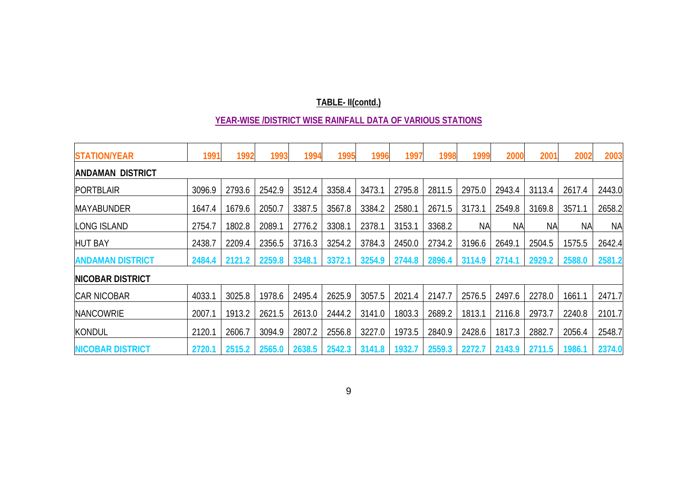## **TABLE- II(contd.)**

#### **YEAR-WISE /DISTRICT WISE RAINFALL DATA OF VARIOUS STATIONS**

| <b>STATION/YEAR</b>      | 1991   | 1992   | 1993   | 1994   | 1995   | 1996   | 1997   | 1998   | 1999      | 2000      | 2001      | 2002      | 2003      |
|--------------------------|--------|--------|--------|--------|--------|--------|--------|--------|-----------|-----------|-----------|-----------|-----------|
| <b>ANDAMAN DISTRICT</b>  |        |        |        |        |        |        |        |        |           |           |           |           |           |
| <b>PORTBLAIR</b>         | 3096.9 | 2793.6 | 2542.9 | 3512.4 | 3358.4 | 3473.  | 2795.8 | 2811.5 | 2975.0    | 2943.4    | 3113.4    | 2617.4    | 2443.0    |
| <b>MAYABUNDER</b>        | 1647.4 | 1679.6 | 2050.7 | 3387.5 | 3567.8 | 3384.2 | 2580.1 | 2671.5 | 3173.1    | 2549.8    | 3169.8    | 3571.1    | 2658.2    |
| LONG ISLAND              | 2754.7 | 1802.8 | 2089.1 | 2776.2 | 3308.1 | 2378.1 | 3153.1 | 3368.2 | <b>NA</b> | <b>NA</b> | <b>NA</b> | <b>NA</b> | <b>NA</b> |
| <b>HUT BAY</b>           | 2438.7 | 2209.4 | 2356.5 | 3716.3 | 3254.2 | 3784.3 | 2450.0 | 2734.2 | 3196.6    | 2649.1    | 2504.5    | 1575.5    | 2642.4    |
| <b>ANDAMAN DISTRICT</b>  | 2484.4 | 2121.2 | 2259.8 | 3348.1 | 3372.1 | 3254.9 | 2744.8 | 2896.4 | 3114.9    | 2714.1    | 2929.2    | 2588.0    | 2581.2    |
| <b>INICOBAR DISTRICT</b> |        |        |        |        |        |        |        |        |           |           |           |           |           |
| <b>CAR NICOBAR</b>       | 4033.1 | 3025.8 | 1978.6 | 2495.4 | 2625.9 | 3057.5 | 2021.4 | 2147.7 | 2576.5    | 2497.6    | 2278.0    | 1661.1    | 2471.7    |
| <b>NANCOWRIE</b>         | 2007.1 | 1913.2 | 2621.5 | 2613.0 | 2444.2 | 3141.0 | 1803.3 | 2689.2 | 1813.1    | 2116.8    | 2973.7    | 2240.8    | 2101.7    |
| <b>KONDUL</b>            | 2120.1 | 2606.7 | 3094.9 | 2807.2 | 2556.8 | 3227.0 | 1973.5 | 2840.9 | 2428.6    | 1817.3    | 2882.7    | 2056.4    | 2548.7    |
| <b>NICOBAR DISTRICT</b>  | 2720.1 | 2515.2 | 2565.0 | 2638.5 | 2542.3 | 3141.8 | 1932.7 | 2559.3 | 2272.7    | 2143.9    | 2711.5    | 1986.1    | 2374.0    |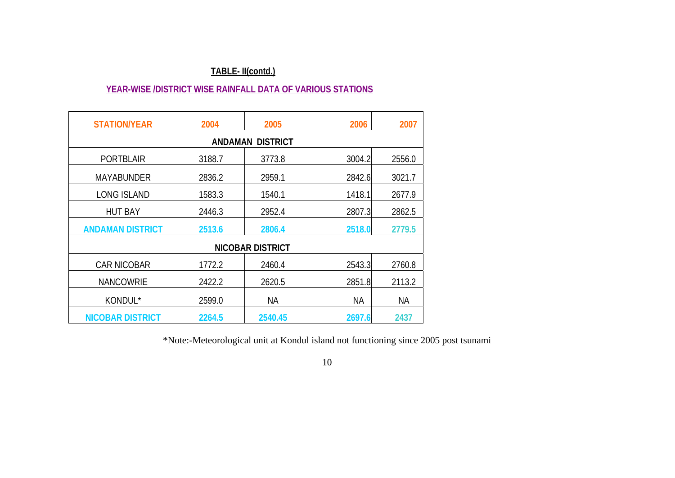## **TABLE- II(contd.)**

#### **YEAR-WISE /DISTRICT WISE RAINFALL DATA OF VARIOUS STATIONS**

| <b>STATION/YEAR</b>     | 2004   | 2005                    | 2006   | 2007   |
|-------------------------|--------|-------------------------|--------|--------|
|                         |        | <b>ANDAMAN DISTRICT</b> |        |        |
| <b>PORTBLAIR</b>        | 3188.7 | 3773.8                  | 3004.2 | 2556.0 |
| <b>MAYABUNDER</b>       | 2836.2 | 2959.1                  | 2842.6 | 3021.7 |
| <b>LONG ISLAND</b>      | 1583.3 | 1540.1                  | 1418.1 | 2677.9 |
| <b>HUT BAY</b>          | 2446.3 | 2952.4                  | 2807.3 | 2862.5 |
| <b>ANDAMAN DISTRICT</b> | 2513.6 | 2806.4                  | 2518.0 | 2779.5 |
|                         |        | <b>NICOBAR DISTRICT</b> |        |        |
| <b>CAR NICOBAR</b>      | 1772.2 | 2460.4                  | 2543.3 | 2760.8 |
| <b>NANCOWRIE</b>        | 2422.2 | 2620.5                  | 2851.8 | 2113.2 |
| KONDUL*                 | 2599.0 | NА                      | ΝA     | NА     |
| <b>NICOBAR DISTRICT</b> | 2264.5 | 2540.45                 | 2697.6 | 2437   |

\*Note:-Meteorological unit at Kondul island not functioning since 2005 post tsunami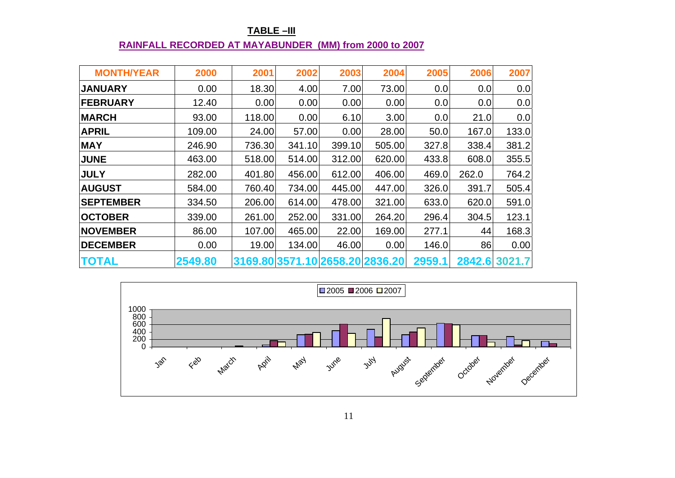#### U**TABLE –III RAINFALL RECORDED AT MAYABUNDER (MM) from 2000 to 2007**

| <b>MONTH/YEAR</b> | 2000    | 2001   | 2002   | 2003   | 2004                            | 2005   | 2006   | 2007   |
|-------------------|---------|--------|--------|--------|---------------------------------|--------|--------|--------|
| <b>JANUARY</b>    | 0.00    | 18.30  | 4.00   | 7.00   | 73.00                           | 0.0    | 0.0    | 0.0    |
| <b>FEBRUARY</b>   | 12.40   | 0.00   | 0.00   | 0.00   | 0.00                            | 0.0    | 0.0    | 0.0    |
| <b>MARCH</b>      | 93.00   | 118.00 | 0.00   | 6.10   | 3.00                            | 0.0    | 21.0   | 0.0    |
| <b>APRIL</b>      | 109.00  | 24.00  | 57.00  | 0.00   | 28.00                           | 50.0   | 167.0  | 133.0  |
| <b>MAY</b>        | 246.90  | 736.30 | 341.10 | 399.10 | 505.00                          | 327.8  | 338.4  | 381.2  |
| <b>JUNE</b>       | 463.00  | 518.00 | 514.00 | 312.00 | 620.00                          | 433.8  | 608.0  | 355.5  |
| <b>JULY</b>       | 282.00  | 401.80 | 456.00 | 612.00 | 406.00                          | 469.0  | 262.0  | 764.2  |
| <b>AUGUST</b>     | 584.00  | 760.40 | 734.00 | 445.00 | 447.00                          | 326.0  | 391.7  | 505.4  |
| <b>SEPTEMBER</b>  | 334.50  | 206.00 | 614.00 | 478.00 | 321.00                          | 633.0  | 620.0  | 591.0  |
| <b>OCTOBER</b>    | 339.00  | 261.00 | 252.00 | 331.00 | 264.20                          | 296.4  | 304.5  | 123.1  |
| <b>NOVEMBER</b>   | 86.00   | 107.00 | 465.00 | 22.00  | 169.00                          | 277.1  | 44     | 168.3  |
| <b>DECEMBER</b>   | 0.00    | 19.00  | 134.00 | 46.00  | 0.00                            | 146.0  | 86     | 0.00   |
| <b>TOTAL</b>      | 2549.80 |        |        |        | 3169.80 3571.10 2658.20 2836.20 | 2959.1 | 2842.6 | 3021.7 |

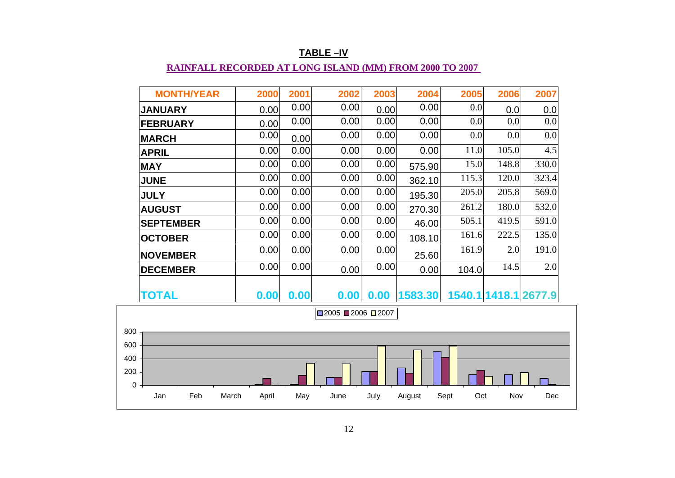| <b>MONTH/YEAR</b>   | 2000  | 2001 | 2002             | 2003 | 2004    | 2005        | 2006                 | 2007  |
|---------------------|-------|------|------------------|------|---------|-------------|----------------------|-------|
| <b>JANUARY</b>      | 0.00  | 0.00 | 0.00             | 0.00 | 0.00    | 0.0         | 0.0                  | 0.0   |
| <b>FEBRUARY</b>     | 0.00  | 0.00 | 0.00             | 0.00 | 0.00    | 0.0         | 0.0                  | 0.0   |
| <b>MARCH</b>        | 0.00  | 0.00 | 0.00             | 0.00 | 0.00    | 0.0         | 0.0                  | 0.0   |
| <b>APRIL</b>        | 0.00  | 0.00 | 0.00             | 0.00 | 0.00    | 11.0        | 105.0                | 4.5   |
| <b>MAY</b>          | 0.00  | 0.00 | 0.00             | 0.00 | 575.90  | 15.0        | 148.8                | 330.0 |
| <b>JUNE</b>         | 0.00  | 0.00 | 0.00             | 0.00 | 362.10  | 115.3       | 120.0                | 323.4 |
| <b>JULY</b>         | 0.00  | 0.00 | 0.00             | 0.00 | 195.30  | 205.0       | 205.8                | 569.0 |
| <b>AUGUST</b>       | 0.00  | 0.00 | 0.00             | 0.00 | 270.30  | 261.2       | 180.0                | 532.0 |
| <b>SEPTEMBER</b>    | 0.00  | 0.00 | 0.00             | 0.00 | 46.00   | 505.1       | 419.5                | 591.0 |
| <b>OCTOBER</b>      | 0.00  | 0.00 | 0.00             | 0.00 | 108.10  | 161.6       | 222.5                | 135.0 |
| <b>NOVEMBER</b>     | 0.00  | 0.00 | 0.00             | 0.00 | 25.60   | 161.9       | 2.0                  | 191.0 |
| <b>DECEMBER</b>     | 0.00  | 0.00 | 0.00             | 0.00 | 0.00    | 104.0       | 14.5                 | 2.0   |
| TOTAL               | 0.00  | 0.00 | 0.00             | 0.00 | 1583.30 |             | 1540.1 1418.1 2677.9 |       |
|                     |       |      | $2005$ 2006 2007 |      |         |             |                      |       |
|                     |       |      |                  |      |         |             |                      |       |
|                     |       |      |                  |      |         |             |                      |       |
|                     |       |      |                  |      |         |             |                      |       |
|                     |       |      |                  |      |         |             |                      |       |
|                     |       |      |                  |      |         |             |                      |       |
| Feb<br>March<br>Jan | April | May  | June             | July | August  | Sept<br>Oct | Nov                  | Dec   |

#### U**TABLE –IV**

## **RAINFALL RECORDED AT LONG ISLAND (MM) FROM 2000 TO 2007**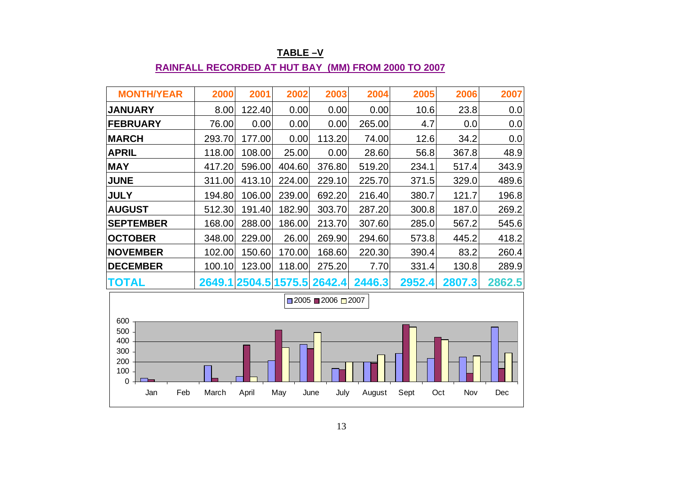| <b>MONTH/YEAR</b>                                        | 2000   | 2001   | 2002   | 2003                                | 2004   | 2005   | 2006   | 2007   |
|----------------------------------------------------------|--------|--------|--------|-------------------------------------|--------|--------|--------|--------|
| <b>JANUARY</b>                                           | 8.00   | 122.40 | 0.00   | 0.00                                | 0.00   | 10.6   | 23.8   | 0.0    |
| <b>FEBRUARY</b>                                          | 76.00  | 0.00   | 0.00   | 0.00                                | 265.00 | 4.7    | 0.0    | 0.0    |
| <b>MARCH</b>                                             | 293.70 | 177.00 | 0.00   | 113.20                              | 74.00  | 12.6   | 34.2   | 0.0    |
| <b>APRIL</b>                                             | 118.00 | 108.00 | 25.00  | 0.00                                | 28.60  | 56.8   | 367.8  | 48.9   |
| <b>MAY</b>                                               | 417.20 | 596.00 | 404.60 | 376.80                              | 519.20 | 234.1  | 517.4  | 343.9  |
| <b>JUNE</b>                                              | 311.00 | 413.10 | 224.00 | 229.10                              | 225.70 | 371.5  | 329.0  | 489.6  |
| <b>JULY</b>                                              | 194.80 | 106.00 | 239.00 | 692.20                              | 216.40 | 380.7  | 121.7  | 196.8  |
| <b>AUGUST</b>                                            | 512.30 | 191.40 | 182.90 | 303.70                              | 287.20 | 300.8  | 187.0  | 269.2  |
| <b>SEPTEMBER</b>                                         | 168.00 | 288.00 | 186.00 | 213.70                              | 307.60 | 285.0  | 567.2  | 545.6  |
| <b>OCTOBER</b>                                           | 348.00 | 229.00 | 26.00  | 269.90                              | 294.60 | 573.8  | 445.2  | 418.2  |
| <b>NOVEMBER</b>                                          | 102.00 | 150.60 | 170.00 | 168.60                              | 220.30 | 390.4  | 83.2   | 260.4  |
| <b>DECEMBER</b>                                          | 100.10 | 123.00 | 118.00 | 275.20                              | 7.70   | 331.4  | 130.8  | 289.9  |
| <b>TOTAL</b>                                             |        |        |        | 2649.1 2504.5 1575.5 2642.4         | 2446.3 | 2952.4 | 2807.3 | 2862.5 |
|                                                          |        |        |        | $\Box$ 2005 $\Box$ 2006 $\Box$ 2007 |        |        |        |        |
| 600<br>500<br>400<br>300<br>200<br>100<br>$\overline{0}$ |        |        |        |                                     |        |        |        |        |

U**TABLE –V**

## **RAINFALL RECORDED AT HUT BAY (MM) FROM 2000 TO 2007**

Jan Feb March April May June July August Sept Oct Nov Dec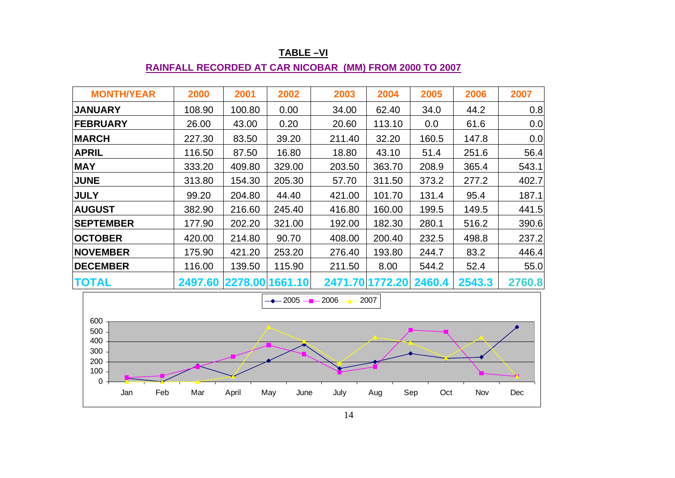| <b>MONTH/YEAR</b> | 2000                    | 2001   | 2002   | 2003   | 2004            | 2005   | 2006   | 2007   |
|-------------------|-------------------------|--------|--------|--------|-----------------|--------|--------|--------|
| <b>JANUARY</b>    | 108.90                  | 100.80 | 0.00   | 34.00  | 62.40           | 34.0   | 44.2   | 0.8    |
| <b>FEBRUARY</b>   | 26.00                   | 43.00  | 0.20   | 20.60  | 113.10          | 0.0    | 61.6   | 0.0    |
| <b>MARCH</b>      | 227.30                  | 83.50  | 39.20  | 211.40 | 32.20           | 160.5  | 147.8  | 0.0    |
| <b>APRIL</b>      | 116.50                  | 87.50  | 16.80  | 18.80  | 43.10           | 51.4   | 251.6  | 56.4   |
| <b>MAY</b>        | 333.20                  | 409.80 | 329.00 | 203.50 | 363.70          | 208.9  | 365.4  | 543.1  |
| <b>JUNE</b>       | 313.80                  | 154.30 | 205.30 | 57.70  | 311.50          | 373.2  | 277.2  | 402.7  |
| <b>JULY</b>       | 99.20                   | 204.80 | 44.40  | 421.00 | 101.70          | 131.4  | 95.4   | 187.1  |
| <b>AUGUST</b>     | 382.90                  | 216.60 | 245.40 | 416.80 | 160.00          | 199.5  | 149.5  | 441.5  |
| <b>SEPTEMBER</b>  | 177.90                  | 202.20 | 321.00 | 192.00 | 182.30          | 280.1  | 516.2  | 390.6  |
| <b>OCTOBER</b>    | 420.00                  | 214.80 | 90.70  | 408.00 | 200.40          | 232.5  | 498.8  | 237.2  |
| <b>NOVEMBER</b>   | 175.90                  | 421.20 | 253.20 | 276.40 | 193.80          | 244.7  | 83.2   | 446.4  |
| <b>DECEMBER</b>   | 116.00                  | 139.50 | 115.90 | 211.50 | 8.00            | 544.2  | 52.4   | 55.0   |
| <b>TOTAL</b>      | 2497.60 2278.00 1661.10 |        |        |        | 2471.70 1772.20 | 2460.4 | 2543.3 | 2760.8 |

#### **TABLE –VI**

#### **RAINFALL RECORDED AT CAR NICOBAR (MM) FROM 2000 TO 2007**

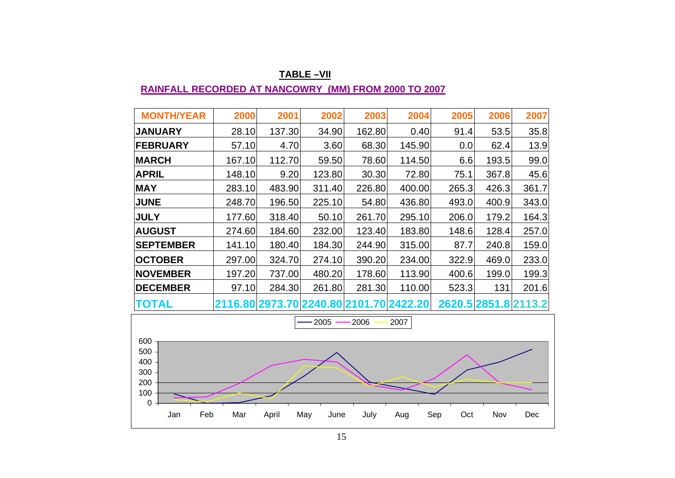| <b>MONTH/YEAR</b> | 2000   | 2001   | 2002   | 2003   | 2004                                    | 2005  | 2006  | 2007                 |
|-------------------|--------|--------|--------|--------|-----------------------------------------|-------|-------|----------------------|
| <b>JANUARY</b>    | 28.10  | 137.30 | 34.90  | 162.80 | 0.40                                    | 91.4  | 53.5  | 35.8                 |
| <b>FEBRUARY</b>   | 57.10  | 4.70   | 3.60   | 68.30  | 145.90                                  | 0.0   | 62.4  | 13.9                 |
| <b>MARCH</b>      | 167.10 | 112.70 | 59.50  | 78.60  | 114.50                                  | 6.6   | 193.5 | 99.0                 |
| <b>APRIL</b>      | 148.10 | 9.20   | 123.80 | 30.30  | 72.80                                   | 75.1  | 367.8 | 45.6                 |
| <b>MAY</b>        | 283.10 | 483.90 | 311.40 | 226.80 | 400.00                                  | 265.3 | 426.3 | 361.7                |
| <b>JUNE</b>       | 248.70 | 196.50 | 225.10 | 54.80  | 436.80                                  | 493.0 | 400.9 | 343.0                |
| <b>JULY</b>       | 177.60 | 318.40 | 50.10  | 261.70 | 295.10                                  | 206.0 | 179.2 | 164.3                |
| <b>AUGUST</b>     | 274.60 | 184.60 | 232.00 | 123.40 | 183.80                                  | 148.6 | 128.4 | 257.0                |
| <b>SEPTEMBER</b>  | 141.10 | 180.40 | 184.30 | 244.90 | 315.00                                  | 87.7  | 240.8 | 159.0                |
| <b>OCTOBER</b>    | 297.00 | 324.70 | 274.10 | 390.20 | 234.00                                  | 322.9 | 469.0 | 233.0                |
| <b>NOVEMBER</b>   | 197.20 | 737.00 | 480.20 | 178.60 | 113.90                                  | 400.6 | 199.0 | 199.3                |
| <b>DECEMBER</b>   | 97.10  | 284.30 | 261.80 | 281.30 | 110.00                                  | 523.3 | 131   | 201.6                |
| <b>TOTAL</b>      |        |        |        |        | 2116.80 2973.70 2240.80 2101.70 2422.20 |       |       | 2620.5 2851.8 2113.2 |

#### **TABLE –VII RAINFALL RECORDED AT NANCOWRY (MM) FROM 2000 TO 2007**

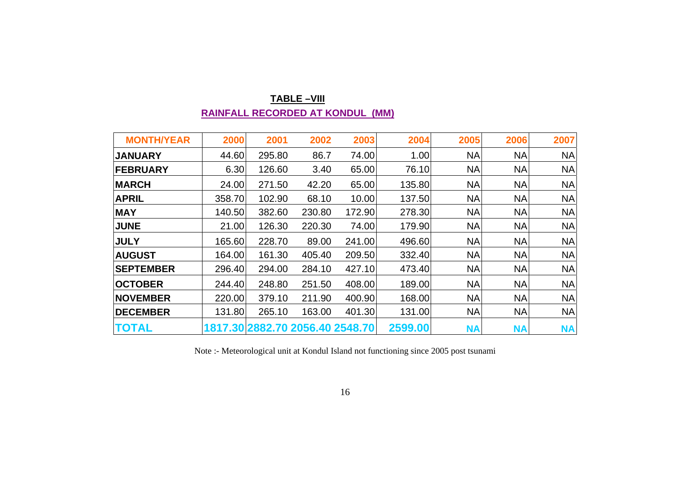#### **TABLE –VIII RAINFALL RECORDED AT KONDUL (MM)**

| <b>MONTH/YEAR</b> | 2000   | 2001   | 2002   | 2003                            | 2004    | 2005      | 2006      | 2007      |
|-------------------|--------|--------|--------|---------------------------------|---------|-----------|-----------|-----------|
| <b>JANUARY</b>    | 44.60  | 295.80 | 86.7   | 74.00                           | 1.00    | <b>NA</b> | <b>NA</b> | <b>NA</b> |
| <b>FEBRUARY</b>   | 6.30   | 126.60 | 3.40   | 65.00                           | 76.10   | <b>NA</b> | <b>NA</b> | NA        |
| <b>MARCH</b>      | 24.00  | 271.50 | 42.20  | 65.00                           | 135.80  | <b>NA</b> | <b>NA</b> | <b>NA</b> |
| <b>APRIL</b>      | 358.70 | 102.90 | 68.10  | 10.00                           | 137.50  | <b>NA</b> | <b>NA</b> | <b>NA</b> |
| <b>MAY</b>        | 140.50 | 382.60 | 230.80 | 172.90                          | 278.30  | <b>NA</b> | <b>NA</b> | <b>NA</b> |
| <b>JUNE</b>       | 21.00  | 126.30 | 220.30 | 74.00                           | 179.90  | <b>NA</b> | <b>NA</b> | <b>NA</b> |
| <b>JULY</b>       | 165.60 | 228.70 | 89.00  | 241.00                          | 496.60  | <b>NA</b> | <b>NA</b> | <b>NA</b> |
| <b>AUGUST</b>     | 164.00 | 161.30 | 405.40 | 209.50                          | 332.40  | <b>NA</b> | <b>NA</b> | <b>NA</b> |
| <b>SEPTEMBER</b>  | 296.40 | 294.00 | 284.10 | 427.10                          | 473.40  | <b>NA</b> | <b>NA</b> | <b>NA</b> |
| <b>OCTOBER</b>    | 244.40 | 248.80 | 251.50 | 408.00                          | 189.00  | <b>NA</b> | <b>NA</b> | <b>NA</b> |
| <b>NOVEMBER</b>   | 220.00 | 379.10 | 211.90 | 400.90                          | 168.00  | <b>NA</b> | <b>NA</b> | <b>NA</b> |
| <b>DECEMBER</b>   | 131.80 | 265.10 | 163.00 | 401.30                          | 131.00  | <b>NA</b> | <b>NA</b> | <b>NA</b> |
| <b>TOTAL</b>      |        |        |        | 1817.30 2882.70 2056.40 2548.70 | 2599.00 | <b>NA</b> | <b>NA</b> | <b>NA</b> |

Note :- Meteorological unit at Kondul Island not functioning since 2005 post tsunami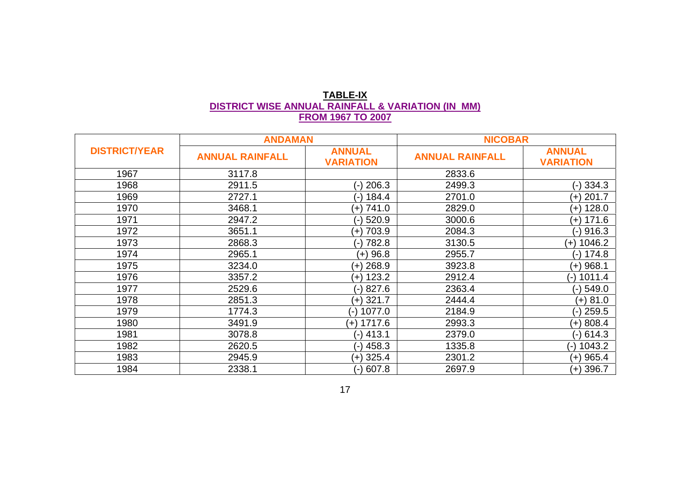## **TABLE-IX DISTRICT WISE ANNUAL RAINFALL & VARIATION (IN MM) FROM 1967 TO 2007**

|                      | <b>ANDAMAN</b>         |                                   | <b>NICOBAR</b>         |                                   |
|----------------------|------------------------|-----------------------------------|------------------------|-----------------------------------|
| <b>DISTRICT/YEAR</b> | <b>ANNUAL RAINFALL</b> | <b>ANNUAL</b><br><b>VARIATION</b> | <b>ANNUAL RAINFALL</b> | <b>ANNUAL</b><br><b>VARIATION</b> |
| 1967                 | 3117.8                 |                                   | 2833.6                 |                                   |
| 1968                 | 2911.5                 | (-) 206.3                         | 2499.3                 | (-) 334.3                         |
| 1969                 | 2727.1                 | (-) 184.4                         | 2701.0                 | $(+)$ 201.7                       |
| 1970                 | 3468.1                 | $(+)$ 741.0                       | 2829.0                 | $(+)$ 128.0                       |
| 1971                 | 2947.2                 | 520.9<br>( – ا                    | 3000.6                 | $(+)$ 171.6                       |
| 1972                 | 3651.1                 | (+) 703.9                         | 2084.3                 | $(-)$ 916.3                       |
| 1973                 | 2868.3                 | 782.8<br>ั–)                      | 3130.5                 | 1046.2<br>$(+)$                   |
| 1974                 | 2965.1                 | $(+)$ 96.8                        | 2955.7                 | (-) 174.8                         |
| 1975                 | 3234.0                 | $(+)$ 268.9                       | 3923.8                 | $(+)$ 968.1                       |
| 1976                 | 3357.2                 | $(+)$ 123.2                       | 2912.4                 | 1011.4<br>(-)                     |
| 1977                 | 2529.6                 | $(-) 827.6$                       | 2363.4                 | $(-)$ 549.0                       |
| 1978                 | 2851.3                 | $(+)$ 321.7                       | 2444.4                 | $(+) 81.0$                        |
| 1979                 | 1774.3                 | 1077.0<br>$(-)$                   | 2184.9                 | $(-)$ 259.5                       |
| 1980                 | 3491.9                 | 1717.6<br>$(+)$                   | 2993.3                 | $(+)$ 808.4                       |
| 1981                 | 3078.8                 | 413.1<br>( – آ                    | 2379.0                 | (-) 614.3                         |
| 1982                 | 2620.5                 | 458.3<br>์ - )                    | 1335.8                 | 1043.2<br>$\left( -\right)$       |
| 1983                 | 2945.9                 | (+) 325.4                         | 2301.2                 | $(+)$ 965.4                       |
| 1984                 | 2338.1                 | (-) 607.8                         | 2697.9                 | $(+)$ 396.7                       |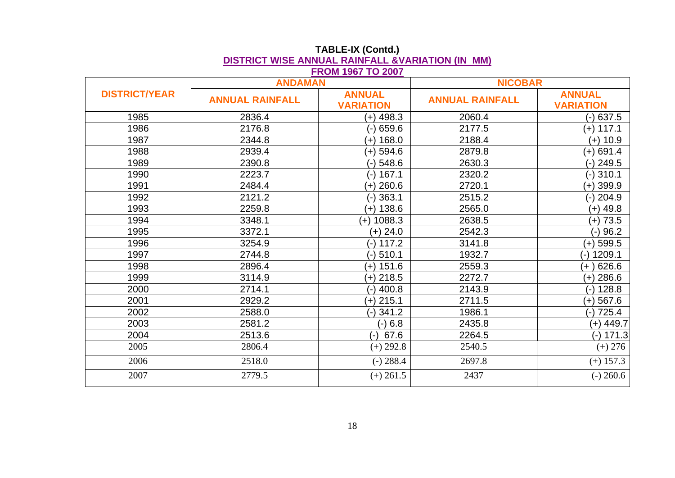|                      | <b>ANDAMAN</b>         |                                   | <b>NICOBAR</b>         |                                   |  |
|----------------------|------------------------|-----------------------------------|------------------------|-----------------------------------|--|
| <b>DISTRICT/YEAR</b> | <b>ANNUAL RAINFALL</b> | <b>ANNUAL</b><br><b>VARIATION</b> | <b>ANNUAL RAINFALL</b> | <b>ANNUAL</b><br><b>VARIATION</b> |  |
| 1985                 | 2836.4                 | $(+)$ 498.3                       | 2060.4                 | 637.5<br>(-)                      |  |
| 1986                 | 2176.8                 | 659.6                             | 2177.5                 | $(+)$ 117.1                       |  |
| 1987                 | 2344.8                 | 168.0<br>$(+)$                    | 2188.4                 | $(+)$ 10.9                        |  |
| 1988                 | 2939.4                 | (+) 594.6                         | 2879.8                 | $(+)$ 691.4                       |  |
| 1989                 | 2390.8                 | 548.6                             | 2630.3                 | 249.5                             |  |
| 1990                 | 2223.7                 | 167.1                             | 2320.2                 | 310.1                             |  |
| 1991                 | 2484.4                 | 260.6<br>$(+)$                    | 2720.1                 | $(+)$ 399.9                       |  |
| 1992                 | 2121.2                 | 363.1                             | 2515.2                 | 204.9                             |  |
| 1993                 | 2259.8                 | $(+)$ 138.6                       | 2565.0                 | $(+)$ 49.8                        |  |
| 1994                 | 3348.1                 | 1088.3<br>$(+)$                   | 2638.5                 | $(+) 73.5$                        |  |
| 1995                 | 3372.1                 | $(+)$ 24.0                        | 2542.3                 | 96.2<br>(-)                       |  |
| 1996                 | 3254.9                 | 117.2<br>(-)                      | 3141.8                 | $(+)$ 599.5                       |  |
| 1997                 | 2744.8                 | 510.1<br>(-)                      | 1932.7                 | 1209.1<br>$(-)$                   |  |
| 1998                 | 2896.4                 | 151.6<br>$(+)$                    | 2559.3                 | 626.6<br>$(+)$                    |  |
| 1999                 | 3114.9                 | $(+)$ 218.5                       | 2272.7                 | $(+) 286.6$                       |  |
| 2000                 | 2714.1                 | 400.8<br>(-)                      | 2143.9                 | 128.8<br>$(-)$                    |  |
| 2001                 | 2929.2                 | $(+)$ 215.1                       | 2711.5                 | $(+)$ 567.6                       |  |
| 2002                 | 2588.0                 | $(-)341.2$                        | 1986.1                 | 725.4<br>$(-)$                    |  |
| 2003                 | 2581.2                 | 6.8                               | 2435.8                 | $(+)$ 449.7                       |  |
| 2004                 | 2513.6                 | 67.6<br>(-)                       | 2264.5                 | $(-)$ 171.3                       |  |
| 2005                 | 2806.4                 | $(+) 292.8$                       | 2540.5                 | $(+) 276$                         |  |
| 2006                 | 2518.0                 | $(-) 288.4$                       | 2697.8                 | $(+)$ 157.3                       |  |
| 2007                 | 2779.5                 | $(+) 261.5$                       | 2437                   | $(-)$ 260.6                       |  |

#### **TABLE-IX (Contd.) DISTRICT WISE ANNUAL RAINFALL &VARIATION (IN MM) FROM 1967 TO 2007**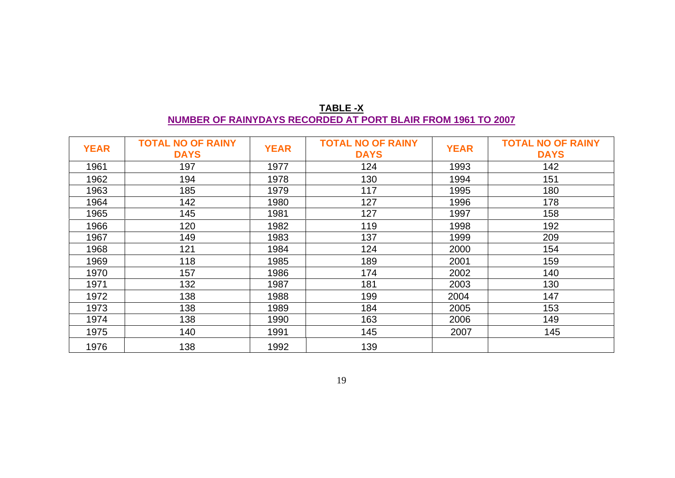| <b>TABLE-X</b>                                               |  |
|--------------------------------------------------------------|--|
| NUMBER OF RAINYDAYS RECORDED AT PORT BLAIR FROM 1961 TO 2007 |  |

| <b>YEAR</b> | <b>TOTAL NO OF RAINY</b><br><b>DAYS</b> | <b>YEAR</b> | <b>TOTAL NO OF RAINY</b><br><b>DAYS</b> | <b>YEAR</b> | <b>TOTAL NO OF RAINY</b><br><b>DAYS</b> |
|-------------|-----------------------------------------|-------------|-----------------------------------------|-------------|-----------------------------------------|
| 1961        | 197                                     | 1977        | 124                                     | 1993        | 142                                     |
| 1962        | 194                                     | 1978        | 130                                     | 1994        | 151                                     |
| 1963        | 185                                     | 1979        | 117                                     | 1995        | 180                                     |
| 1964        | 142                                     | 1980        | 127                                     | 1996        | 178                                     |
| 1965        | 145                                     | 1981        | 127                                     | 1997        | 158                                     |
| 1966        | 120                                     | 1982        | 119                                     | 1998        | 192                                     |
| 1967        | 149                                     | 1983        | 137                                     | 1999        | 209                                     |
| 1968        | 121                                     | 1984        | 124                                     | 2000        | 154                                     |
| 1969        | 118                                     | 1985        | 189                                     | 2001        | 159                                     |
| 1970        | 157                                     | 1986        | 174                                     | 2002        | 140                                     |
| 1971        | 132                                     | 1987        | 181                                     | 2003        | 130                                     |
| 1972        | 138                                     | 1988        | 199                                     | 2004        | 147                                     |
| 1973        | 138                                     | 1989        | 184                                     | 2005        | 153                                     |
| 1974        | 138                                     | 1990        | 163                                     | 2006        | 149                                     |
| 1975        | 140                                     | 1991        | 145                                     | 2007        | 145                                     |
| 1976        | 138                                     | 1992        | 139                                     |             |                                         |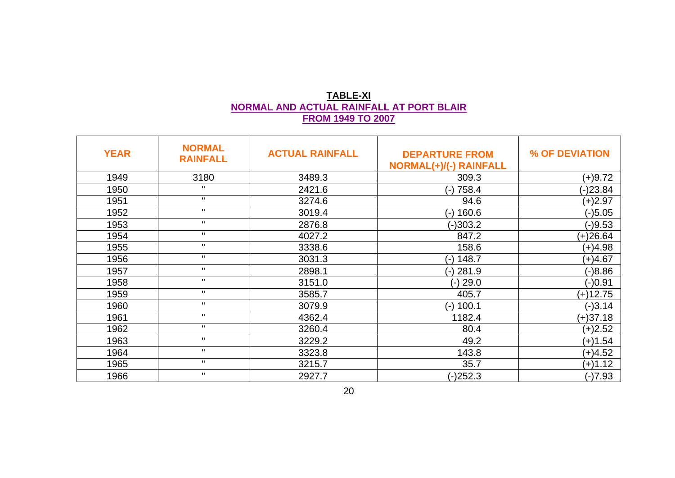# **TABLE-XI NORMAL AND ACTUAL RAINFALL AT PORT BLAIR FROM 1949 TO 2007**

| <b>YEAR</b> | <b>NORMAL</b><br><b>RAINFALL</b> | <b>ACTUAL RAINFALL</b> | <b>DEPARTURE FROM</b><br><b>NORMAL(+)/(-) RAINFALL</b> | % OF DEVIATION |
|-------------|----------------------------------|------------------------|--------------------------------------------------------|----------------|
| 1949        | 3180                             | 3489.3                 | 309.3                                                  | $(+)9.72$      |
| 1950        | $\mathbf{H}$                     | 2421.6                 | (-) 758.4                                              | $(-)23.84$     |
| 1951        | $\mathbf{H}$                     | 3274.6                 | 94.6                                                   | $(+)2.97$      |
| 1952        | $\mathbf{H}$                     | 3019.4                 | 160.6<br>$(-)$                                         | $(-)5.05$      |
| 1953        | $\mathbf{H}$                     | 2876.8                 | $(-)303.2$                                             | $(-)9.53$      |
| 1954        | $\mathbf{H}$                     | 4027.2                 | 847.2                                                  | $(+)26.64$     |
| 1955        | $\mathbf{H}$                     | 3338.6                 | 158.6                                                  | $(+)4.98$      |
| 1956        | $\mathbf{H}$                     | 3031.3                 | 148.7<br>(-)                                           | $(+)4.67$      |
| 1957        | $\mathbf{u}$                     | 2898.1                 | (-) 281.9                                              | $(-)8.86$      |
| 1958        | $\mathbf{H}$                     | 3151.0                 | (-) 29.0                                               | (-)0.91        |
| 1959        | $\mathbf{H}$                     | 3585.7                 | 405.7                                                  | (+)12.75       |
| 1960        | $\mathbf{H}$                     | 3079.9                 | 100.1<br>$(-)$                                         | $(-)3.14$      |
| 1961        | $\mathbf{u}$                     | 4362.4                 | 1182.4                                                 | $(+)37.18$     |
| 1962        | $\mathbf{H}$                     | 3260.4                 | 80.4                                                   | $(+)2.52$      |
| 1963        | $\mathbf{H}$                     | 3229.2                 | 49.2                                                   | $(+)1.54$      |
| 1964        | $\mathbf{H}$                     | 3323.8                 | 143.8                                                  | $(+)4.52$      |
| 1965        | $\mathbf{H}$                     | 3215.7                 | 35.7                                                   | $(+)1.12$      |
| 1966        | $\mathbf H$                      | 2927.7                 | $(-)252.3$                                             | $(-)7.93$      |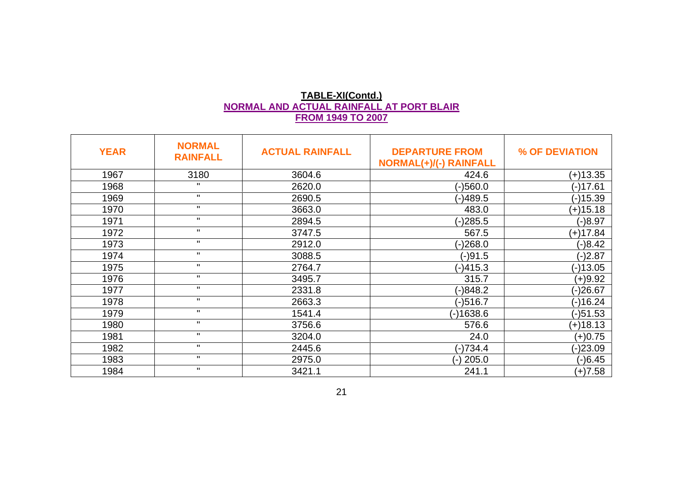## **TABLE-XI(Contd.) NORMAL AND ACTUAL RAINFALL AT PORT BLAIR FROM 1949 TO 2007**

| <b>YEAR</b> | <b>NORMAL</b><br><b>RAINFALL</b> | <b>ACTUAL RAINFALL</b> | <b>DEPARTURE FROM</b><br><b>NORMAL(+)/(-) RAINFALL</b> | % OF DEVIATION |
|-------------|----------------------------------|------------------------|--------------------------------------------------------|----------------|
| 1967        | 3180                             | 3604.6                 | 424.6                                                  | (+)13.35       |
| 1968        | $\mathbf{H}$                     | 2620.0                 | (-)560.0                                               | (-)17.61       |
| 1969        | $\mathbf H$                      | 2690.5                 | (-)489.5                                               | $(-)15.39$     |
| 1970        | $\mathbf{H}$                     | 3663.0                 | 483.0                                                  | $(+)15.18$     |
| 1971        | $\mathbf H$                      | 2894.5                 | (-)285.5                                               | $(-)8.97$      |
| 1972        | $\mathbf{H}$                     | 3747.5                 | 567.5                                                  | $(+)17.84$     |
| 1973        | $\mathbf{H}$                     | 2912.0                 | $(-)268.0$                                             | $(-)8.42$      |
| 1974        | $\mathbf{H}$                     | 3088.5                 | $(-)91.5$                                              | $(-)2.87$      |
| 1975        | $\mathbf H$                      | 2764.7                 | (-)415.3                                               | $(-)13.05$     |
| 1976        | $\mathbf{u}$                     | 3495.7                 | 315.7                                                  | $(+)9.92$      |
| 1977        | $\mathbf{H}$                     | 2331.8                 | (-)848.2                                               | $(-)26.67$     |
| 1978        | $\mathbf{H}$                     | 2663.3                 | (-)516.7                                               | $(-)16.24$     |
| 1979        | $\mathbf{H}$                     | 1541.4                 | (-)1638.6                                              | $(-)51.53$     |
| 1980        | $\mathbf{H}$                     | 3756.6                 | 576.6                                                  | $(+)18.13$     |
| 1981        | $\mathbf{H}$                     | 3204.0                 | 24.0                                                   | $(+)0.75$      |
| 1982        | $\mathbf H$                      | 2445.6                 | (-)734.4                                               | $(-)23.09$     |
| 1983        | $\mathbf H$                      | 2975.0                 | (-) 205.0                                              | $(-)6.45$      |
| 1984        | $\mathbf{H}$                     | 3421.1                 | 241.1                                                  | $(+)7.58$      |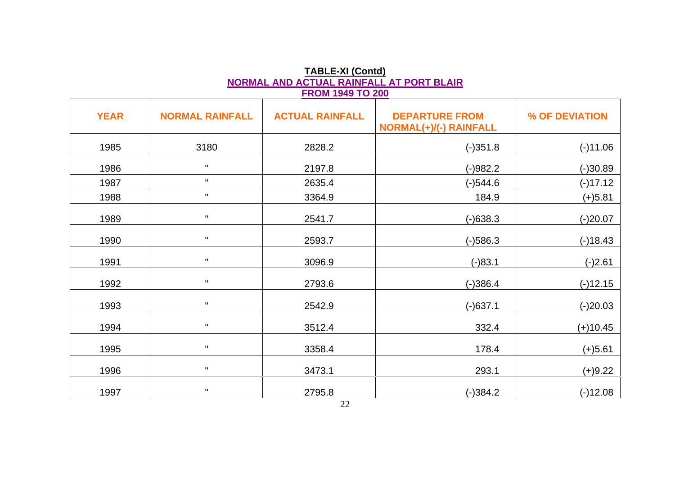| <b>FROM 1949 TO 200</b> |                        |                        |                                                        |                |  |  |  |
|-------------------------|------------------------|------------------------|--------------------------------------------------------|----------------|--|--|--|
| <b>YEAR</b>             | <b>NORMAL RAINFALL</b> | <b>ACTUAL RAINFALL</b> | <b>DEPARTURE FROM</b><br><b>NORMAL(+)/(-) RAINFALL</b> | % OF DEVIATION |  |  |  |
| 1985                    | 3180                   | 2828.2                 | $(-)351.8$                                             | $(-)11.06$     |  |  |  |
| 1986                    | $\mathbf H$            | 2197.8                 | $(-)982.2$                                             | $(-)30.89$     |  |  |  |
| 1987                    | $\mathbf H$            | 2635.4                 | $(-)544.6$                                             | $(-)17.12$     |  |  |  |
| 1988                    | $\mathbf H$            | 3364.9                 | 184.9                                                  | $(+)5.81$      |  |  |  |
| 1989                    | $\mathbf H$            | 2541.7                 | $(-)638.3$                                             | $(-)20.07$     |  |  |  |
| 1990                    | $\mathbf{H}$           | 2593.7                 | $(-)586.3$                                             | $(-)18.43$     |  |  |  |
| 1991                    | $\mathbf H$            | 3096.9                 | $(-)83.1$                                              | $(-)2.61$      |  |  |  |
| 1992                    | $\mathbf H$            | 2793.6                 | $(-)386.4$                                             | $(-)12.15$     |  |  |  |
| 1993                    | $\mathbf H$            | 2542.9                 | $(-)637.1$                                             | $(-)20.03$     |  |  |  |
| 1994                    | $\mathbf H$            | 3512.4                 | 332.4                                                  | $(+)10.45$     |  |  |  |
| 1995                    | $\mathbf H$            | 3358.4                 | 178.4                                                  | $(+)5.61$      |  |  |  |
| 1996                    | $\mathbf H$            | 3473.1                 | 293.1                                                  | $(+)9.22$      |  |  |  |
| 1997                    | $\mathbf H$            | 2795.8                 | $(-)384.2$                                             | $(-)12.08$     |  |  |  |

**TABLE-XI (Contd) NORMAL AND ACTUAL RAINFALL AT PORT BLAIR**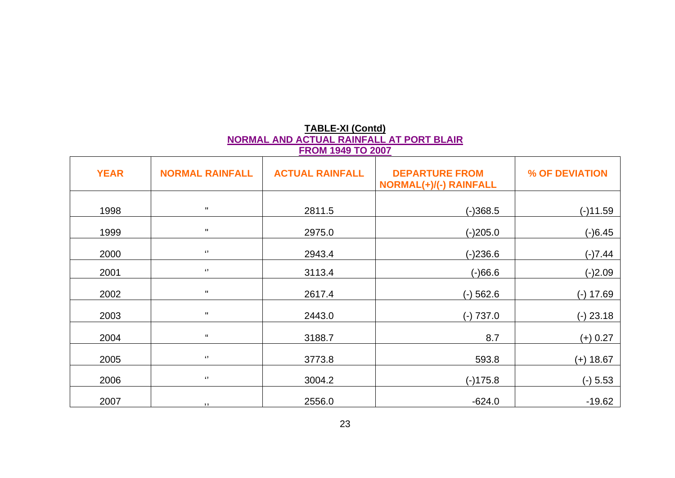## **TABLE-XI (Contd) NORMAL AND ACTUAL RAINFALL AT PORT BLAIR FROM 1949 TO 2007**

| <b>YEAR</b> | <b>NORMAL RAINFALL</b>     | <b>ACTUAL RAINFALL</b> | <b>DEPARTURE FROM</b><br><b>NORMAL(+)/(-) RAINFALL</b> | % OF DEVIATION |
|-------------|----------------------------|------------------------|--------------------------------------------------------|----------------|
| 1998        | $\mathbf H$                | 2811.5                 | $(-)368.5$                                             | $(-)11.59$     |
| 1999        | $\mathbf H$                | 2975.0                 | $(-)205.0$                                             | $(-)6.45$      |
| 2000        | $\pmb{\epsilon}$           | 2943.4                 | $(-)236.6$                                             | $(-)7.44$      |
| 2001        | $\epsilon$                 | 3113.4                 | $(-)66.6$                                              | $(-)2.09$      |
| 2002        | $\pmb{\mathsf{H}}$         | 2617.4                 | $(-)$ 562.6                                            | $(-) 17.69$    |
| 2003        | $\pmb{\mathsf{H}}$         | 2443.0                 | $(-) 737.0$                                            | $(-)$ 23.18    |
| 2004        | $\mathfrak{c}\mathfrak{c}$ | 3188.7                 | 8.7                                                    | $(+) 0.27$     |
| 2005        | $\epsilon$                 | 3773.8                 | 593.8                                                  | $(+)$ 18.67    |
| 2006        | $\epsilon$                 | 3004.2                 | $(-)175.8$                                             | $(-) 5.53$     |
| 2007        | $, ,$                      | 2556.0                 | $-624.0$                                               | $-19.62$       |